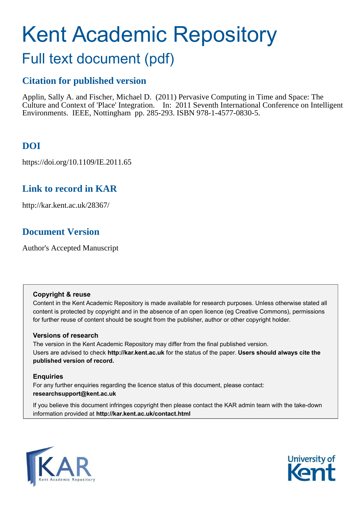# Kent Academic Repository

# Full text document (pdf)

## **Citation for published version**

Applin, Sally A. and Fischer, Michael D. (2011) Pervasive Computing in Time and Space: The Culture and Context of 'Place' Integration. In: 2011 Seventh International Conference on Intelligent Environments. IEEE, Nottingham pp. 285-293. ISBN 978-1-4577-0830-5.

# **DOI**

https://doi.org/10.1109/IE.2011.65

## **Link to record in KAR**

http://kar.kent.ac.uk/28367/

## **Document Version**

Author's Accepted Manuscript

#### **Copyright & reuse**

Content in the Kent Academic Repository is made available for research purposes. Unless otherwise stated all content is protected by copyright and in the absence of an open licence (eg Creative Commons), permissions for further reuse of content should be sought from the publisher, author or other copyright holder.

#### **Versions of research**

The version in the Kent Academic Repository may differ from the final published version. Users are advised to check **http://kar.kent.ac.uk** for the status of the paper. **Users should always cite the published version of record.**

#### **Enquiries**

For any further enquiries regarding the licence status of this document, please contact: **researchsupport@kent.ac.uk**

If you believe this document infringes copyright then please contact the KAR admin team with the take-down information provided at **http://kar.kent.ac.uk/contact.html**



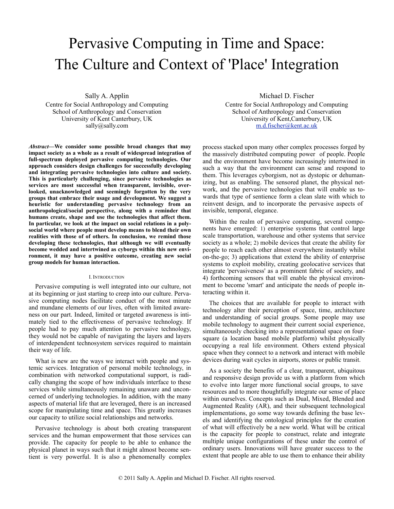# Pervasive Computing in Time and Space: The Culture and Context of 'Place' Integration

Sally A. Applin Centre for Social Anthropology and Computing School of Anthropology and Conservation University of Kent Canterbury, UK [sally@sally.com](mailto:Sally@sally.com)

*Abstract***—We consider some possible broad changes that may impact society as a whole as a result of widespread integration of full-spectrum deployed pervasive computing technologies. Our approach considers design challenges for successfully developing and integrating pervasive technologies into culture and society. This is particularly challenging, since pervasive technologies as services are most successful when transparent, invisible, overlooked, unacknowledged and seemingly forgotten by the very groups that embrace their usage and development. We suggest a heuristic for understanding pervasive technology from an anthropological/social perspective, along with a reminder that humans create, shape and use the technologies that affect them. In particular, we look at the impact on social relations in a polysocial world where people must develop means to blend their own realities with those of of others. In conclusion, we remind those developing these technologies, that although we will eventually become wedded and intertwined as cyborgs within this new environment, it may have a positive outcome, creating new social group models for human interaction.**

#### I. INTRODUCTION

Pervasive computing is well integrated into our culture, not at its beginning or just starting to creep into our culture. Pervasive computing nodes facilitate conduct of the most minute and mundane elements of our lives, often with limited awareness on our part. Indeed, limited or targeted awareness is intimately tied to the effectiveness of pervasive technology. If people had to pay much attention to pervasive technology, they would not be capable of navigating the layers and layers of interdependent technosystem services required to maintain their way of life.

What is new are the ways we interact with people and systemic services. Integration of personal mobile technology, in combination with networked computational support, is radically changing the scope of how individuals interface to these services while simultaneously remaining unaware and unconcerned of underlying technologies. In addition, with the many aspects of material life that are leveraged, there is an increased scope for manipulating time and space. This greatly increases our capacity to utilize social relationships and networks.

Pervasive technology is about both creating transparent services and the human empowerment that those services can provide. The capacity for people to be able to enhance the physical planet in ways such that it might almost become sentient is very powerful. It is also a phenomenally complex

Michael D. Fischer Centre for Social Anthropology and Computing School of Anthropology and Conservation University of Kent,Canterbury, UK [m.d.fischer@kent.ac.uk](mailto:m.d.fischer@kent.ac.uk)

process stacked upon many other complex processes forged by the massively distributed computing power of people. People and the environment have become increasingly intertwined in such a way that the environment can sense and respond to them. This leverages cyborgism, not as dystopic or dehumanizing, but as enabling. The sensored planet, the physical network, and the pervasive technologies that will enable us towards that type of sentience form a clean slate with which to reinvent design, and to incorporate the pervasive aspects of invisible, temporal, elegance.

Within the realm of pervasive computing, several components have emerged: 1) enterprise systems that control large scale transportation, warehouse and other systems that service society as a whole; 2) mobile devices that create the ability for people to reach each other almost everywhere instantly whilst on-the-go; 3) applications that extend the ability of enterprise systems to exploit mobility, creating geolocative services that integrate 'pervasiveness' as a prominent fabric of society, and 4) forthcoming sensors that will enable the physical environment to become 'smart' and anticipate the needs of people interacting within it.

The choices that are available for people to interact with technology alter their perception of space, time, architecture and understanding of social groups. Some people may use mobile technology to augment their current social experience, simultaneously checking into a representational space on foursquare (a location based mobile platform) whilst physically occupying a real life environment. Others extend physical space when they connect to a network and interact with mobile devices during wait cycles in airports, stores or public transit.

As a society the benefits of a clear, transparent, ubiquitous and responsive design provide us with a platform from which to evolve into larger more functional social groups, to save resources and to more thoughtfully integrate our sense of place within ourselves. Concepts such as Dual, Mixed, Blended and Augmented Reality (AR), and their subsequent technological implementations, go some way towards defining the base levels and identifying the ontological principles for the creation of what will effectively be a new world. What will be critical is the capacity for people to construct, relate and integrate multiple unique configurations of these under the control of ordinary users. Innovations will have greater success to the extent that people are able to use them to enhance their ability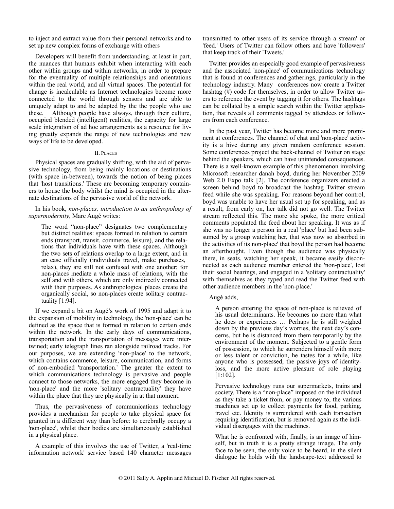to inject and extract value from their personal networks and to set up new complex forms of exchange with others

Developers will benefit from understanding, at least in part, the nuances that humans exhibit when interacting with each other within groups and within networks, in order to prepare for the eventuality of multiple relationships and orientations within the real world, and all virtual spaces. The potential for change is incalculable as Internet technologies become more connected to the world through sensors and are able to uniquely adapt to and be adapted by the the people who use these. Although people have always, through their culture, occupied blended (intelligent) realities, the capacity for large scale integration of ad hoc arrangements as a resource for living greatly expands the range of new technologies and new ways of life to be developed.

#### II. PLACES

Physical spaces are gradually shifting, with the aid of pervasive technology, from being mainly locations or destinations (with space in-between), towards the notion of being places that 'host transitions.' These are becoming temporary containers to house the body whilst the mind is occupied in the alternate destinations of the pervasive world of the network.

#### In his book, *non-places, introduction to an anthropology of supermodernity*, Marc Augé writes:

The word "non-place" designates two complementary but distinct realities: spaces formed in relation to certain ends (transport, transit, commerce, leisure), and the relations that individuals have with these spaces. Although the two sets of relations overlap to a large extent, and in an case officially (individuals travel, make purchases, relax), they are still not confused with one another; for non-places mediate a whole mass of relations, with the self and with others, which are only indirectly connected with their purposes. As anthropological places create the organically social, so non-places create solitary contractuality [1:94].

If we expand a bit on Augé's work of 1995 and adapt it to the expansion of mobility in technology, the 'non-place' can be defined as the space that is formed in relation to certain ends within the network. In the early days of communications, transportation and the transportation of messages were intertwined; early telegraph lines ran alongside railroad tracks. For our purposes, we are extending 'non-place' to the network, which contains commerce, leisure, communication, and forms of non-embodied 'transportation.' The greater the extent to which communications technology is pervasive and people connect to those networks, the more engaged they become in 'non-place' and the more 'solitary contractuality' they have within the place that they are physically in at that moment.

Thus, the pervasiveness of communications technology provides a mechanism for people to take physical space for granted in a different way than before: to cerebrally occupy a 'non-place', whilst their bodies are simultaneously established in a physical place.

A example of this involves the use of Twitter, a 'real-time information network' service based 140 character messages

transmitted to other users of its service through a stream' or 'feed.' Users of Twitter can follow others and have 'followers' that keep track of their 'Tweets.'

Twitter provides an especially good example of pervasiveness and the associated 'non-place' of communications technology that is found at conferences and gatherings, particularly in the technology industry. Many conferences now create a Twitter hashtag (#) code for themselves, in order to allow Twitter users to reference the event by tagging it for others. The hashtags can be collated by a simple search within the Twitter application, that reveals all comments tagged by attendees or followers from each conference.

In the past year, Twitter has become more and more prominent at conferences. The channel of chat and 'non-place' activity is a hive during any given random conference session. Some conferences project the back-channel of Twitter on stage behind the speakers, which can have unintended consequences. There is a well-known example of this phenomenon involving Microsoft researcher danah boyd, during her November 2009 Web 2.0 Expo talk [2]. The conference organizers erected a screen behind boyd to broadcast the hashtag Twitter stream feed while she was speaking. For reasons beyond her control, boyd was unable to have her usual set up for speaking, and as a result, from early on, her talk did not go well. The Twitter stream reflected this. The more she spoke, the more critical comments populated the feed about her speaking. It was as if she was no longer a person in a real 'place' but had been subsumed by a group watching her, that was now so absorbed in the activities of its non-place' that boyd the person had become an afterthought. Even though the audience was physically there, in seats, watching her speak, it became easily disconnected as each audience member entered the 'non-place', lost their social bearings, and engaged in a 'solitary contractuality' with themselves as they typed and read the Twitter feed with other audience members in the 'non-place.'

#### Augé adds,

A person entering the space of non-place is relieved of his usual determinants. He becomes no more than what he does or experiences … Perhaps he is still weighed down by the previous day's worries, the next day's concerns, but he is distanced from them temporarily by the environment of the moment. Subjected to a gentle form of possession, to which he surrenders himself with more or less talent or conviction, he tastes for a while, like anyone who is possessed, the passive joys of identityloss, and the more active pleasure of role playing [1:102].

Pervasive technology runs our supermarkets, trains and society. There is a "non-place" imposed on the individual as they take a ticket from, or pay money to, the various machines set up to collect payments for food, parking, travel etc. Identity is surrendered with each transaction requiring identification, but is removed again as the individual disengages with the machines.

What he is confronted with, finally, is an image of himself, but in truth it is a pretty strange image. The only face to be seen, the only voice to be heard, in the silent dialogue he holds with the landscape-text addressed to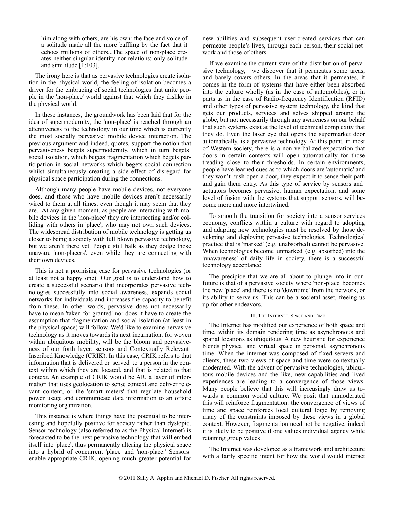him along with others, are his own: the face and voice of a solitude made all the more baffling by the fact that it echoes millions of others...The space of non-place creates neither singular identity nor relations; only solitude and similitude [1:103].

The irony here is that as pervasive technologies create isolation in the physical world, the feeling of isolation becomes a driver for the embracing of social technologies that unite people in the 'non-place' world against that which they dislike in the physical world.

In these instances, the groundwork has been laid that for the idea of supermodernity, the 'non-place' is reached through an attentiveness to the technology in our time which is currently the most socially pervasive: mobile device interaction. The previous argument and indeed, quotes, support the notion that pervasiveness begets supermodernity, which in turn begets social isolation, which begets fragmentation which begets participation in social networks which begets social connection whilst simultaneously creating a side effect of disregard for physical space participation during the connections.

Although many people have mobile devices, not everyone does, and those who have mobile devices aren't necessarily wired to them at all times, even though it may seem that they are. At any given moment, as people are interacting with mobile devices in the 'non-place' they are intersecting and/or colliding with others in 'place', who may not own such devices. The widespread distribution of mobile technology is getting us closer to being a society with full blown pervasive technology, but we aren't there yet. People still balk as they dodge those unaware 'non-placers', even while they are connecting with their own devices.

This is not a promising case for pervasive technologies (or at least not a happy one). Our goal is to understand how to create a successful scenario that incorporates pervasive technologies successfully into social awareness, expands social networks for individuals and increases the capacity to benefit from these. In other words, pervasive does not necessarily have to mean 'taken for granted' nor does it have to create the assumption that fragmentation and social isolation (at least in the physical space) will follow. We'd like to examine pervasive technology as it moves towards its next incarnation, for woven within ubiquitous mobility, will be the bloom and pervasiveness of our forth layer: sensors and Contextually Relevant Inscribed Knowledge (CRIK). In this case, CRIK refers to that information that is delivered or 'served' to a person in the context within which they are located, and that is related to that context. An example of CRIK would be AR, a layer of information that uses geolocation to sense context and deliver relevant content, or the 'smart meters' that regulate household power usage and communicate data information to an offsite monitoring organization.

This instance is where things have the potential to be interesting and hopefully positive for society rather than dystopic. Sensor technology (also referred to as the Physical Internet) is forecasted to be the next pervasive technology that will embed itself into 'place', thus permanently altering the physical space into a hybrid of concurrent 'place' and 'non-place.' Sensors enable appropriate CRIK, opening much greater potential for

new abilities and subsequent user-created services that can permeate people's lives, through each person, their social network and those of others.

If we examine the current state of the distribution of pervasive technology, we discover that it permeates some areas, and barely covers others. In the areas that it permeates, it comes in the form of systems that have either been absorbed into the culture wholly (as in the case of automobiles), or in parts as in the case of Radio-frequency Identification (RFID) and other types of pervasive system technology, the kind that gets our products, services and selves shipped around the globe, but not necessarily through any awareness on our behalf that such systems exist at the level of technical complexity that they do. Even the laser eye that opens the supermarket door automatically, is a pervasive technology. At this point, in most of Western society, there is a non-verbalized expectation that doors in certain contexts will open automatically for those treading close to their thresholds. In certain environments, people have learned cues as to which doors are 'automatic' and they won't push open a door, they expect it to sense their path and gain them entry. As this type of service by sensors and actuators becomes pervasive, human expectation, and some level of fusion with the systems that support sensors, will become more and more intertwined.

To smooth the transition for society into a sensor services economy, conflicts within a culture with regard to adopting and adapting new technologies must be resolved by those developing and deploying pervasive technologies. Technological practice that is 'marked' (e.g. unabsorbed) cannot be pervasive. When technologies become 'unmarked' (e.g. absorbed) into the 'unawareness' of daily life in society, there is a successful technology acceptance.

The precipice that we are all about to plunge into in our future is that of a pervasive society where 'non-place' becomes the new 'place' and there is no 'downtime' from the network, or its ability to serve us. This can be a societal asset, freeing us up for other endeavors.

#### III. THE INTERNET, SPACE AND TIME

The Internet has modified our experience of both space and time, within its domain rendering time as asynchronous and spatial locations as ubiquitous. A new heuristic for experience blends physical and virtual space in personal, asynchronous time. When the internet was composed of fixed servers and clients, these two views of space and time were contextually moderated. With the advent of pervasive technologies, ubiquitous mobile devices and the like, new capabilities and lived experiences are leading to a convergence of those views. Many people believe that this will increasingly draw us towards a common world culture. We posit that unmoderated this will reinforce fragmentation: the convergence of views of time and space reinforces local cultural logic by removing many of the constraints imposed by these views in a global context. However, fragmentation need not be negative, indeed it is likely to be positive if one values individual agency while retaining group values.

The Internet was developed as a framework and architecture with a fairly specific intent for how the world would interact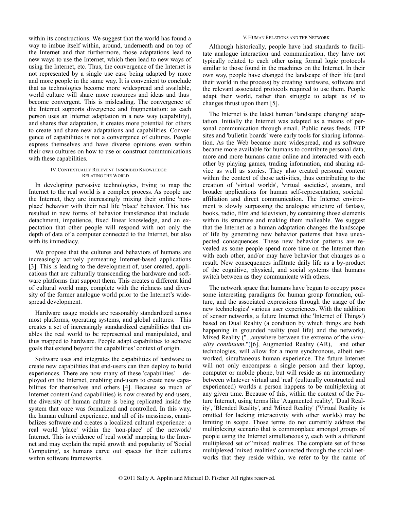within its constructions. We suggest that the world has found a way to imbue itself within, around, underneath and on top of the Internet and that furthermore, those adaptations lead to new ways to use the Internet, which then lead to new ways of using the Internet, etc. Thus, the convergence of the Internet is not represented by a single use case being adapted by more and more people in the same way. It is convenient to conclude that as technologies become more widespread and available, world culture will share more resources and ideas and thus become convergent. This is misleading. The convergence of the Internet supports divergence and fragmentation: as each person uses an Internet adaptation in a new way (capability), and shares that adaptation, it creates more potential for others to create and share new adaptations and capabilities. Convergence of capabilities is not a convergence of cultures. People express themselves and have diverse opinions even within their own cultures on how to use or construct communications with these capabilities.

#### IV. CONTEXTUALLY RELEVENT INSCRIBED KNOWLEDGE: RELATING THE WORLD

In developing pervasive technologies, trying to map the Internet to the real world is a complex process. As people use the Internet, they are increasingly mixing their online 'nonplace' behavior with their real life 'place' behavior. This has resulted in new forms of behavior transference that include detachment, impatience, fixed linear knowledge, and an expectation that other people will respond with not only the depth of data of a computer connected to the Internet, but also with its immediacy.

We propose that the cultures and behaviors of humans are increasingly actively permeating Internet-based applications [3]. This is leading to the development of, user created, applications that are culturally transcending the hardware and software platforms that support them. This creates a different kind of cultural world map, complete with the richness and diversity of the former analogue world prior to the Internet's widespread development.

Hardware usage models are reasonably standardized across most platforms, operating systems, and global cultures. This creates a set of increasingly standardized capabilities that enables the real world to be represented and manipulated, and thus mapped to hardware. People adapt capabilities to achieve goals that extend beyond the capabilities' context of origin.

Software uses and integrates the capabilities of hardware to create new capabilities that end-users can then deploy to build experiences. There are now many of these 'capabilities' deployed on the Internet, enabling end-users to create new capabilities for themselves and others [4]. Because so much of Internet content (and capabilities) is now created by end-users, the diversity of human culture is being replicated inside the system that once was formalized and controlled. In this way, the human cultural experience, and all of its messiness, cannibalizes software and creates a localized cultural experience: a real world 'place' within the 'non-place' of the network/ Internet. This is evidence of 'real world' mapping to the Internet and may explain the rapid growth and popularity of 'Social Computing', as humans carve out spaces for their cultures within software frameworks.

#### V. HUMAN RELATIONS AND THE NETWORK

Although historically, people have had standards to facilitate analogue interaction and communication, they have not typically related to each other using formal logic protocols similar to those found in the machines on the Internet. In their own way, people have changed the landscape of their life (and their world in the process) by creating hardware, software and the relevant associated protocols required to use them. People adapt their world, rather than struggle to adapt 'as is' to changes thrust upon them [5].

The Internet is the latest human 'landscape changing' adaptation. Initially the Internet was adapted as a means of personal communication through email. Public news feeds. FTP sites and 'bulletin boards' were early tools for sharing information. As the Web became more widespread, and as software became more available for humans to contribute personal data, more and more humans came online and interacted with each other by playing games, trading information, and sharing advice as well as stories. They also created personal content within the context of those activities, thus contributing to the creation of 'virtual worlds', 'virtual societies', avatars, and broader applications for human self-representation, societal affiliation and direct communication. The Internet environment is slowly surpassing the analogue structure of fantasy, books, radio, film and television, by containing those elements within its structure and making them malleable. We suggest that the Internet as a human adaptation changes the landscape of life by generating new behavior patterns that have unexpected consequences. These new behavior patterns are revealed as some people spend more time on the Internet than with each other, and/or may have behavior that changes as a result. New consequences infiltrate daily life as a by-product of the cognitive, physical, and social systems that humans switch between as they communicate with others.

The network space that humans have begun to occupy poses some interesting paradigms for human group formation, culture, and the associated expressions through the usage of the new technologies' various user experiences. With the addition of sensor networks, a future Internet (the 'Internet of Things') based on Dual Reality (a condition by which things are both happening in grounded reality (real life) and the network), Mixed Reality ("...anywhere between the extrema of the *virtuality continuum*.")[6], Augmented Reality (AR), and other technologies, will allow for a more synchronous, albeit networked, simultaneous human experience. The future Internet will not only encompass a single person and their laptop, computer or mobile phone, but will reside as an intermediary between whatever virtual and 'real' (culturally constructed and experienced) worlds a person happens to be multiplexing at any given time. Because of this, within the context of the Future Internet, using terms like 'Augmented reality', 'Dual Reality', 'Blended Reality', and 'Mixed Reality' ('Virtual Reality' is omitted for lacking interactivity with other worlds) may be limiting in scope. Those terms do not currently address the multiplexing scenario that is commonplace amongst groups of people using the Internet simultaneously, each with a different multiplexed set of 'mixed' realities. The complete set of those multiplexed 'mixed realities' connected through the social networks that they reside within, we refer to by the name of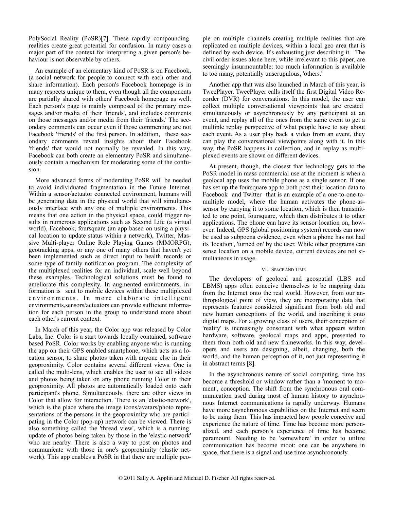PolySocial Reality (PoSR)[7]. These rapidly compounding realities create great potential for confusion. In many cases a major part of the context for interpreting a given person's behaviour is not observable by others.

An example of an elementary kind of PoSR is on Facebook, (a social network for people to connect with each other and share information). Each person's Facebook homepage is in many respects unique to them, even though all the components are partially shared with others' Facebook homepage as well. Each person's page is mainly composed of the primary messages and/or media of their 'friends', and includes comments on those messages and/or media from their 'friends.' The secondary comments can occur even if those commenting are not Facebook 'friends' of the first person. In addition, these secondary comments reveal insights about their Facebook 'friends' that would not normally be revealed. In this way, Facebook can both create an elementary PoSR and simultaneously contain a mechanism for moderating some of the confusion.

More advanced forms of moderating PoSR will be needed to avoid individuated fragmentation in the Future Internet. Within a sensor/actuator connected environment, humans will be generating data in the physical world that will simultaneously interface with any one of multiple environments. This means that one action in the physical space, could trigger results in numerous applications such as Second Life (a virtual world), Facebook, foursquare (an app based on using a physical location to update status within a network), Twitter, Massive Multi-player Online Role Playing Games (MMORPG), geotracking apps, or any one of many others that haven't yet been implemented such as direct input to health records or some type of family notification program. The complexity of the multiplexed realities for an individual, scale well beyond these examples. Technological solutions must be found to ameliorate this complexity. In augmented environments, information is sent to mobile devices within these multiplexed environments. In more elaborate intelligent environments,sensors/actuators can provide sufficient information for each person in the group to understand more about each other's current context.

In March of this year, the Color app was released by Color Labs, Inc. Color is a start towards locally contained, software based PoSR. Color works by enabling anyone who is running the app on their GPS enabled smartphone, which acts as a location sensor, to share photos taken with anyone else in their geoproximity. Color contains several different views. One is called the multi-lens, which enables the user to see all videos and photos being taken on any phone running Color in their geoproximity. All photos are automatically loaded onto each participant's phone. Simultaneously, there are other views in Color that allow for interaction. There is an 'elastic-network', which is the place where the image icons/avatars/photo representations of the persons in the geoproximity who are participating in the Color (pop-up) network can be viewed. There is also something called the 'thread view', which is a running update of photos being taken by those in the 'elastic-network' who are nearby. There is also a way to post on photos and communicate with those in one's geoproximity (elastic network). This app enables a PoSR in that there are multiple people on multiple channels creating multiple realities that are replicated on multiple devices, within a local geo area that is defined by each device. It's exhausting just describing it. The civil order issues alone here, while irrelevant to this paper, are seemingly insurmountable: too much information is available to too many, potentially unscrupulous, 'others.'

Another app that was also launched in March of this year, is TweePlayer. TweePlayer calls itself the first Digital Video Recorder (DVR) for conversations. In this model, the user can collect multiple conversational viewpoints that are created simultaneously or asynchronously by any participant at an event, and replay all of the ones from the same event to get a multiple replay perspective of what people have to say about each event. As a user play back a video from an event, they can play the conversational viewpoints along with it. In this way, the PoSR happens in collection, and in replay as multiplexed events are shown on different devices.

At present, though, the closest that technology gets to the PoSR model in mass commercial use at the moment is when a geolocal app uses the mobile phone as a single sensor. If one has set up the foursquare app to both post their location data to Facebook and Twitter that is an example of a one-to-one-tomultiple model, where the human activates the phone-assensor by carrying it to some location, which is then transmitted to one point, foursquare, which then distributes it to other applications. The phone can have its sensor location on, however. Indeed, GPS (global positioning system) records can now be used as subpoena evidence, even when a phone has not had its 'location', 'turned on' by the user. While other programs can sense location on a mobile device, current devices are not simultaneous in usage.

#### VI. SPACE AND TIME

The developers of geolocal and geospatial (LBS and LBMS) apps often conceive themselves to be mapping data from the Internet onto the real world. However, from our anthropological point of view, they are incorporating data that represents features considered significant from both old and new human conceptions of the world, and inscribing it onto digital maps. For a growing class of users, their conception of 'reality' is increasingly consonant with what appears within hardware, software, geolocal maps and apps, presented to them from both old and new frameworks. In this way, developers and users are designing, albeit, changing, both the world, and the human perception of it, not just representing it in abstract terms [8].

In the asynchronous nature of social computing, time has become a threshold or window rather than a 'moment to moment', conception. The shift from the synchronous oral communication used during most of human history to asynchronous Internet communications is rapidly underway. Humans have more asynchronous capabilities on the Internet and seem to be using them. This has impacted how people conceive and experience the nature of time. Time has become more personalized, and each person's experience of time has become paramount. Needing to be 'somewhere' in order to utilize communication has become moot: one can be anywhere in space, that there is a signal and use time asynchronously.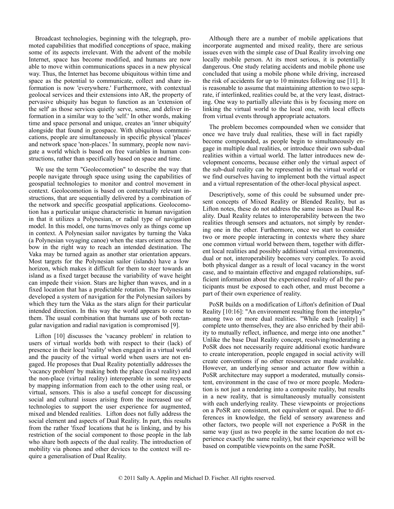Broadcast technologies, beginning with the telegraph, promoted capabilities that modified conceptions of space, making some of its aspects irrelevant. With the advent of the mobile Internet, space has become modified, and humans are now able to move within communications spaces in a new physical way. Thus, the Internet has become ubiquitous within time and space as the potential to communicate, collect and share information is now 'everywhere.' Furthermore, with contextual geolocal services and their extensions into AR, the property of pervasive ubiquity has begun to function as an 'extension of the self' as those services quietly serve, sense, and deliver information in a similar way to the 'self.' In other words, making time and space personal and unique, creates an 'inner ubiquity' alongside that found in geospace. With ubiquitous communications, people are simultaneously in specific physical 'places' and network space 'non-places.' In summary, people now navigate a world which is based on free variables in human constructions, rather than specifically based on space and time.

We use the term "Geolocomotion" to describe the way that people navigate through space using using the capabilities of geospatial technologies to monitor and control movement in context. Geolocomotion is based on contextually relevant instructions, that are sequentially delivered by a combination of the network and specific geospatial applications. Geolocomotion has a particular unique characteristic in human navigation in that it utilizes a Polynesian, or radial type of navigation model. In this model, one turns/moves only as things come up in context. A Polynesian sailor navigates by turning the Vaka (a Polynesian voyaging canoe) when the stars orient across the bow in the right way to reach an intended destination. The Vaka may be turned again as another star orientation appears. Most targets for the Polynesian sailor (islands) have a low horizon, which makes it difficult for them to steer towards an island as a fixed target because the variability of wave height can impede their vision. Stars are higher than waves, and in a fixed location that has a predictable rotation. The Polynesians developed a system of navigation for the Polynesian sailors by which they turn the Vaka as the stars align for their particular intended direction. In this way the world appears to come to them. The usual combination that humans use of both rectangular navigation and radial navigation is compromised [9].

Lifton [10] discusses the 'vacancy problem' in relation to users of virtual worlds both with respect to their (lack) of presence in their local 'reality' when engaged in a virtual world and the paucity of the virtual world when users are not engaged. He proposes that Dual Reality potentially addresses the 'vacancy problem' by making both the place (local reality) and the non-place (virtual reality) interoperable in some respects by mapping information from each to the other using real, or virtual, sensors. This is also a useful concept for discussing social and cultural issues arising from the increased use of technologies to support the user experience for augmented, mixed and blended realities. Lifton does not fully address the social element and aspects of Dual Reality. In part, this results from the rather 'fixed' locations that he is linking, and by his restriction of the social component to those people in the lab who share both aspects of the dual reality. The introduction of mobility via phones and other devices to the context will require a generalisation of Dual Reality.

Although there are a number of mobile applications that incorporate augmented and mixed reality, there are serious issues even with the simple case of Dual Reality involving one locally mobile person. At its most serious, it is potentially dangerous. One study relating accidents and mobile phone use concluded that using a mobile phone while driving, increased the risk of accidents for up to 10 minutes following use [11]. It is reasonable to assume that maintaining attention to two separate, if interlinked, realities could be, at the very least, distracting. One way to partially alleviate this is by focusing more on linking the virtual world to the local one, with local effects from virtual events through appropriate actuators.

The problem becomes compounded when we consider that once we have truly dual realities, these will in fact rapidly become compounded, as people begin to simultaneously engage in multiple dual realities, or introduce their own sub-dual realities within a virtual world. The latter introduces new development concerns, because either only the virtual aspect of the sub-dual reality can be represented in the virtual world or we find ourselves having to implement both the virtual aspect and a virtual representation of the other-local physical aspect.

Descriptively, some of this could be subsumed under present concepts of Mixed Reality or Blended Reality, but as Lifton notes, these do not address the same issues as Dual Reality. Dual Reality relates to interoperability between the two realities through sensors and actuators, not simply by rendering one in the other. Furthermore, once we start to consider two or more people interacting in contexts where they share one common virtual world between them, together with different local realities and possibly additional virtual environments, dual or not, interoperability becomes very complex. To avoid both physical danger as a result of local vacancy in the worst case, and to maintain effective and engaged relationships, sufficient information about the experienced reality of all the participants must be exposed to each other, and must become a part of their own experience of reality.

PoSR builds on a modification of Lifton's definition of Dual Reality [10:16]: "An environment resulting from the interplay" among two or more dual realities. "While each [reality] is complete unto themselves, they are also enriched by their ability to mutually reflect, influence, and merge into one another." Unlike the base Dual Reality concept, resolving/moderating a PoSR does not necessarily require additional exotic hardware to create interoperation, people engaged in social activity will create conventions if no other resources are made available. However, an underlying sensor and actuator flow within a PoSR architecture may support a moderated, mutually consistent, environment in the case of two or more people. Moderation is not just a rendering into a composite reality, but results in a new reality, that is simultaneously mutually consistent with each underlying reality. These viewpoints or projections on a PoSR are consistent, not equivalent or equal. Due to differences in knowledge, the field of sensory awareness and other factors, two people will not experience a PoSR in the same way (just as two people in the same location do not experience exactly the same reality), but their experience will be based on compatible viewpoints on the same PoSR.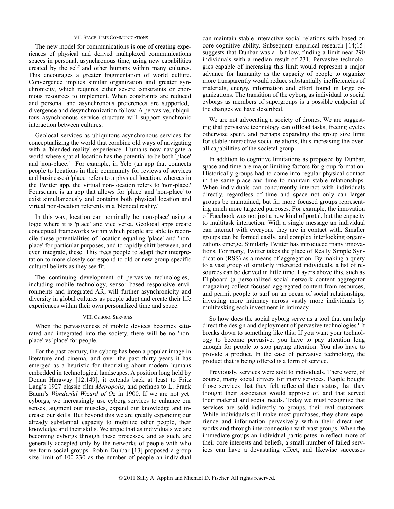#### VII. SPACE-TIME COMMUNICATIONS

The new model for communications is one of creating experiences of physical and derived multiplexed communications spaces in personal, asynchronous time, using new capabilities created by the self and other humans within many cultures. This encourages a greater fragmentation of world culture. Convergence implies similar organization and greater synchronicity, which requires either severe constraints or enormous resources to implement. When constraints are reduced and personal and asynchronous preferences are supported, divergence and desynchronization follow. A pervasive, ubiquitous asynchronous service structure will support synchronic interaction between cultures.

Geolocal services as ubiquitous asynchronous services for conceptualizing the world that combine old ways of navigating with a 'blended reality' experience. Humans now navigate a world where spatial location has the potential to be both 'place' and 'non-place.' For example, in Yelp (an app that connects people to locations in their community for reviews of services and businesses) 'place' refers to a physical location, whereas in the Twitter app, the virtual non-location refers to 'non-place.' Foursquare is an app that allows for 'place' and 'non-place' to exist simultaneously and contains both physical location and virtual non-location referents in a 'blended reality.'

In this way, location can nominally be 'non-place' using a logic where it is 'place' and vice versa. Geolocal apps create conceptual frameworks within which people are able to reconcile these potentialities of location equaling 'place' and 'nonplace' for particular purposes, and to rapidly shift between, and even integrate, these. This frees people to adapt their interpretation to more closely correspond to old or new group specific cultural beliefs as they see fit.

The continuing development of pervasive technologies, including mobile technology, sensor based responsive environments and integrated AR, will further asynchronicity and diversity in global cultures as people adapt and create their life experiences within their own personalized time and space.

#### VIII. CYBORG SERVICES

When the pervasiveness of mobile devices becomes saturated and integrated into the society, there will be no 'nonplace' vs 'place' for people.

For the past century, the cyborg has been a popular image in literature and cinema, and over the past thirty years it has emerged as a heuristic for theorizing about modern humans embedded in technological landscapes. A position long held by Donna Haraway [12:149], it extends back at least to Fritz Lang's 1927 classic film *Metropolis*, and perhaps to L. Frank Baum's *Wonderful Wizard of Oz* in 1900. If we are not yet cyborgs, we increasingly use cyborg services to enhance our senses, augment our muscles, expand our knowledge and increase our skills. But beyond this we are greatly expanding our already substantial capacity to mobilize other people, their knowledge and their skills. We argue that as individuals we are becoming cyborgs through these processes, and as such, are generally accepted only by the networks of people with who we form social groups. Robin Dunbar [13] proposed a group size limit of 100-230 as the number of people an individual

can maintain stable interactive social relations with based on core cognitive ability. Subsequent empirical research [14;15] suggests that Dunbar was a bit low, finding a limit near 290 individuals with a median result of 231. Pervasive technologies capable of increasing this limit would represent a major advance for humanity as the capacity of people to organize more transparently would reduce substantially inefficiencies of materials, energy, information and effort found in large organizations. The transition of the cyborg as individual to social cyborgs as members of supergroups is a possible endpoint of the changes we have described.

We are not advocating a society of drones. We are suggesting that pervasive technology can offload tasks, freeing cycles otherwise spent, and perhaps expanding the group size limit for stable interactive social relations, thus increasing the overall capabilities of the societal group.

In addition to cognitive limitations as proposed by Dunbar, space and time are major limiting factors for group formation. Historically groups had to come into regular physical contact in the same place and time to maintain stable relationships. When individuals can concurrently interact with individuals directly, regardless of time and space not only can larger groups be maintained, but far more focused groups representing much more targeted purposes. For example, the innovation of Facebook was not just a new kind of portal, but the capacity to multitask interaction. With a single message an individual can interact with everyone they are in contact with. Smaller groups can be formed easily, and complex interlocking organizations emerge. Similarly Twitter has introduced many innovations. For many, Twitter takes the place of Really Simple Syndication (RSS) as a means of aggregation. By making a query to a vast group of similarly interested individuals, a list of resources can be derived in little time. Layers above this, such as Flipboard (a personalized social network content aggregator magazine) collect focused aggregated content from resources, and permit people to surf on an ocean of social relationships, investing more intimacy across vastly more individuals by multitasking each investment in intimacy.

So how does the social cyborg serve as a tool that can help direct the design and deployment of pervasive technologies? It breaks down to something like this: If you want your technology to become pervasive, you have to pay attention long enough for people to stop paying attention. You also have to provide a product. In the case of pervasive technology, the product that is being offered is a form of service.

Previously, services were sold to individuals. There were, of course, many social drivers for many services. People bought those services that they felt reflected their status, that they thought their associates would approve of, and that served their material and social needs. Today we must recognize that services are sold indirectly to groups, their real customers. While individuals still make most purchases, they share experience and information pervasively within their direct networks and through interconnection with vast groups. When the immediate groups an individual participates in reflect more of their core interests and beliefs, a small number of failed services can have a devastating effect, and likewise successes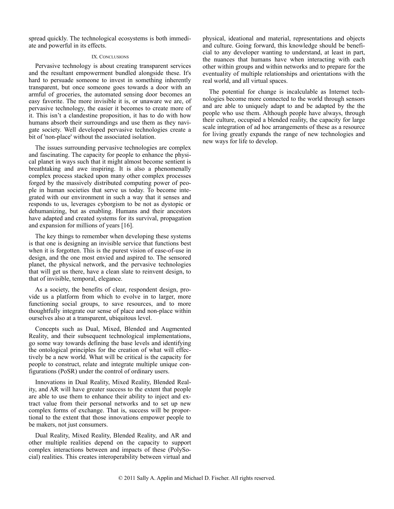spread quickly. The technological ecosystems is both immediate and powerful in its effects.

#### IX. CONCLUSIONS

Pervasive technology is about creating transparent services and the resultant empowerment bundled alongside these. It's hard to persuade someone to invest in something inherently transparent, but once someone goes towards a door with an armful of groceries, the automated sensing door becomes an easy favorite. The more invisible it is, or unaware we are, of pervasive technology, the easier it becomes to create more of it. This isn't a clandestine proposition, it has to do with how humans absorb their surroundings and use them as they navigate society. Well developed pervasive technologies create a bit of 'non-place' without the associated isolation.

The issues surrounding pervasive technologies are complex and fascinating. The capacity for people to enhance the physical planet in ways such that it might almost become sentient is breathtaking and awe inspiring. It is also a phenomenally complex process stacked upon many other complex processes forged by the massively distributed computing power of people in human societies that serve us today. To become integrated with our environment in such a way that it senses and responds to us, leverages cyborgism to be not as dystopic or dehumanizing, but as enabling. Humans and their ancestors have adapted and created systems for its survival, propagation and expansion for millions of years [16].

The key things to remember when developing these systems is that one is designing an invisible service that functions best when it is forgotten. This is the purest vision of ease-of-use in design, and the one most envied and aspired to. The sensored planet, the physical network, and the pervasive technologies that will get us there, have a clean slate to reinvent design, to that of invisible, temporal, elegance.

As a society, the benefits of clear, respondent design, provide us a platform from which to evolve in to larger, more functioning social groups, to save resources, and to more thoughtfully integrate our sense of place and non-place within ourselves also at a transparent, ubiquitous level.

Concepts such as Dual, Mixed, Blended and Augmented Reality, and their subsequent technological implementations, go some way towards defining the base levels and identifying the ontological principles for the creation of what will effectively be a new world. What will be critical is the capacity for people to construct, relate and integrate multiple unique configurations (PoSR) under the control of ordinary users.

Innovations in Dual Reality, Mixed Reality, Blended Reality, and AR will have greater success to the extent that people are able to use them to enhance their ability to inject and extract value from their personal networks and to set up new complex forms of exchange. That is, success will be proportional to the extent that those innovations empower people to be makers, not just consumers.

Dual Reality, Mixed Reality, Blended Reality, and AR and other multiple realities depend on the capacity to support complex interactions between and impacts of these (PolySocial) realities. This creates interoperability between virtual and

physical, ideational and material, representations and objects and culture. Going forward, this knowledge should be beneficial to any developer wanting to understand, at least in part, the nuances that humans have when interacting with each other within groups and within networks and to prepare for the eventuality of multiple relationships and orientations with the real world, and all virtual spaces.

The potential for change is incalculable as Internet technologies become more connected to the world through sensors and are able to uniquely adapt to and be adapted by the the people who use them. Although people have always, through their culture, occupied a blended reality, the capacity for large scale integration of ad hoc arrangements of these as a resource for living greatly expands the range of new technologies and new ways for life to develop.